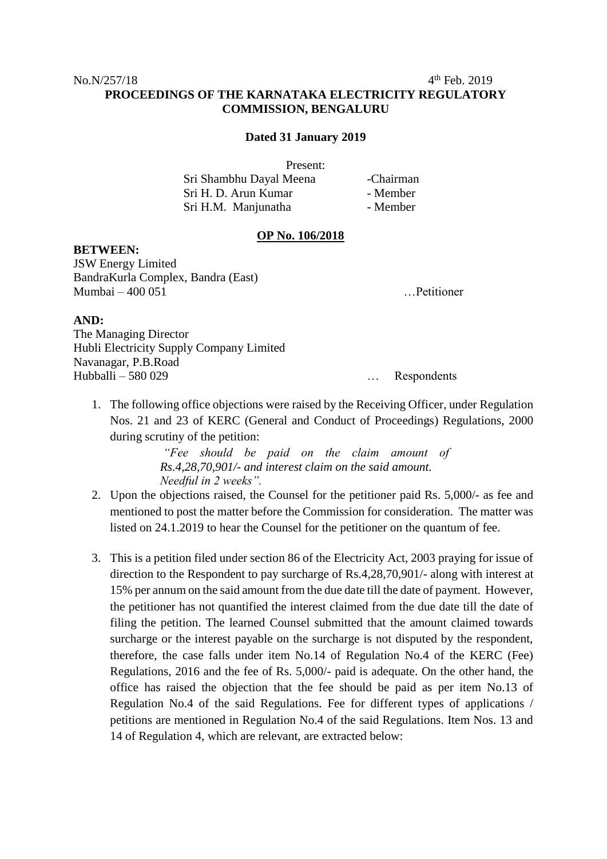$4<sup>th</sup>$  Feb. 2019

# **PROCEEDINGS OF THE KARNATAKA ELECTRICITY REGULATORY COMMISSION, BENGALURU**

#### **Dated 31 January 2019**

Present:

| Sri Shambhu Dayal Meena | -Chairman |
|-------------------------|-----------|
| Sri H. D. Arun Kumar    | - Member  |
| Sri H.M. Manjunatha     | - Member  |

### **OP No. 106/2018**

#### **BETWEEN:**

JSW Energy Limited BandraKurla Complex, Bandra (East) Mumbai – 400 051 …Petitioner

## **AND:**

The Managing Director Hubli Electricity Supply Company Limited Navanagar, P.B.Road Hubballi – 580 029 … Respondents

1. The following office objections were raised by the Receiving Officer, under Regulation Nos. 21 and 23 of KERC (General and Conduct of Proceedings) Regulations, 2000 during scrutiny of the petition:

> *"Fee should be paid on the claim amount of Rs.4,28,70,901/- and interest claim on the said amount. Needful in 2 weeks".*

- 2. Upon the objections raised, the Counsel for the petitioner paid Rs. 5,000/- as fee and mentioned to post the matter before the Commission for consideration. The matter was listed on 24.1.2019 to hear the Counsel for the petitioner on the quantum of fee.
- 3. This is a petition filed under section 86 of the Electricity Act, 2003 praying for issue of direction to the Respondent to pay surcharge of Rs.4,28,70,901/- along with interest at 15% per annum on the said amount from the due date till the date of payment. However, the petitioner has not quantified the interest claimed from the due date till the date of filing the petition. The learned Counsel submitted that the amount claimed towards surcharge or the interest payable on the surcharge is not disputed by the respondent, therefore, the case falls under item No.14 of Regulation No.4 of the KERC (Fee) Regulations, 2016 and the fee of Rs. 5,000/- paid is adequate. On the other hand, the office has raised the objection that the fee should be paid as per item No.13 of Regulation No.4 of the said Regulations. Fee for different types of applications / petitions are mentioned in Regulation No.4 of the said Regulations. Item Nos. 13 and 14 of Regulation 4, which are relevant, are extracted below: